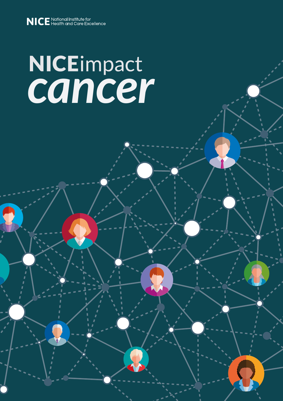# *cancer*

 $\overline{a}$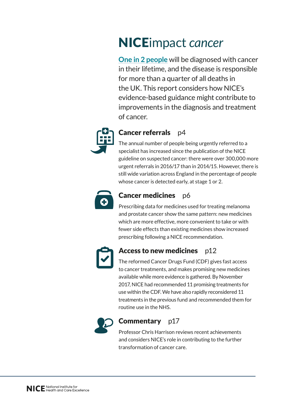# NICEimpact *cancer*

**[One in 2 people](https://www.nice.org.uk/news/blog/1-in-2-people-will-get-cancer)** will be diagnosed with cancer in their lifetime, and the disease is responsible for more than a quarter of all deaths in the UK. This report considers how NICE's evidence-based guidance might contribute to improvements in the diagnosis and treatment of cancer.



## Cancer referrals p4

The annual number of people being urgently referred to a specialist has increased since the publication of the NICE guideline on suspected cancer: there were over 300,000 more urgent referrals in 2016/17 than in 2014/15. However, there is still wide variation across England in the percentage of people whose cancer is detected early, at stage 1 or 2.



## Cancer medicines p6

Prescribing data for medicines used for treating melanoma and prostate cancer show the same pattern: new medicines which are more effective, more convenient to take or with fewer side effects than existing medicines show increased prescribing following a NICE recommendation.



## Access to new medicines p12

The reformed Cancer Drugs Fund (CDF) gives fast access to cancer treatments, and makes promising new medicines available while more evidence is gathered. By November 2017, NICE had recommended 11 promising treatments for use within the CDF. We have also rapidly reconsidered 11 treatments in the previous fund and recommended them for routine use in the NHS.



## **Commentary** p17

Professor Chris Harrison reviews recent achievements and considers NICE's role in contributing to the further transformation of cancer care.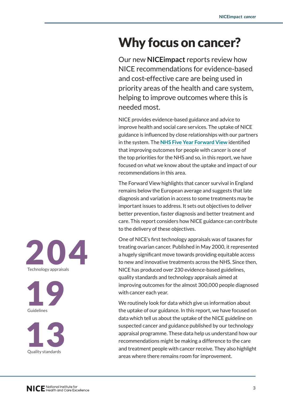# Why focus on cancer?

Our new **NICEimpact** reports review how NICE recommendations for evidence-based and cost-effective care are being used in priority areas of the health and care system, helping to improve outcomes where this is needed most.

NICE provides evidence-based guidance and advice to improve health and social care services. The uptake of NICE guidance is influenced by close relationships with our partners in the system. The **[NHS Five Year Forward View](https://www.england.nhs.uk/publication/nhs-five-year-forward-view/)** identified that improving outcomes for people with cancer is one of the top priorities for the NHS and so, in this report, we have focused on what we know about the uptake and impact of our recommendations in this area.

The Forward View highlights that cancer survival in England remains below the European average and suggests that late diagnosis and variation in access to some treatments may be important issues to address. It sets out objectives to deliver better prevention, faster diagnosis and better treatment and care. This report considers how NICE guidance can contribute to the delivery of these objectives.

One of NICE's first technology appraisals was of taxanes for treating ovarian cancer. Published in May 2000, it represented a hugely significant move towards providing equitable access to new and innovative treatments across the NHS. Since then, NICE has produced over 230 evidence-based guidelines, quality standards and technology appraisals aimed at improving outcomes for the almost 300,000 people diagnosed with cancer each year.

We routinely look for data which give us information about the uptake of our guidance. In this report, we have focused on data which tell us about the uptake of the NICE guideline on suspected cancer and guidance published by our technology appraisal programme. These data help us understand how our recommendations might be making a difference to the care and treatment people with cancer receive. They also highlight areas where there remains room for improvement.





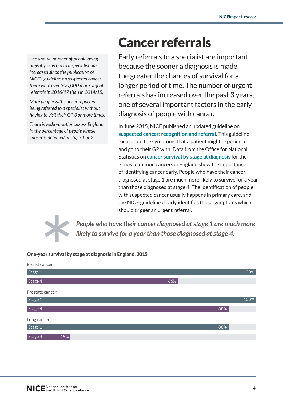*The annual number of people being urgently referred to a specialist has increased since the publication of NICE's guideline on suspected cancer: there were over 300,000 more urgent referrals in 2016/17 than in 2014/15.*

*More people with cancer reported being referred to a specialist without having to visit their GP 3 or more times.*

*There is wide variation across England in the percentage of people whose cancer is detected at stage 1 or 2.*

# Cancer referrals

Early referrals to a specialist are important because the sooner a diagnosis is made, the greater the chances of survival for a longer period of time. The number of urgent referrals has increased over the past 3 years, one of several important factors in the early diagnosis of people with cancer.

In June 2015, NICE published an updated guideline on **[suspected cancer: recognition and referral](https://www.nice.org.uk/guidance/ng12)**. This guideline focuses on the symptoms that a patient might experience and go to their GP with. Data from the Office for National Statistics on **[cancer survival by stage at diagnosis](https://www.ons.gov.uk/releases/cancersurvivalbystageatdiagnosisexperimentalstatistics2012to2014)** for the 3 most common cancers in England show the importance of identifying cancer early. People who have their cancer diagnosed at stage 1 are much more likely to survive for a year than those diagnosed at stage 4. The identification of people with suspected cancer usually happens in primary care, and the NICE guideline clearly identifies those symptoms which should trigger an urgent referral.



*People who have their cancer diagnosed at stage 1 are much more likely to survive for a year than those diagnosed at stage 4.*

#### One-year survival by stage at diagnosis in England, 2015

| Breast cancer   |     |      |
|-----------------|-----|------|
| Stage 1         |     | 100% |
| Stage 4         | 66% |      |
| Prostate cancer |     |      |
| Stage 1         |     | 100% |
| Stage 4         |     | 88%  |
| Lung cancer     |     |      |
| Stage 1         |     | 88%  |
| Stage 4<br>19%  |     |      |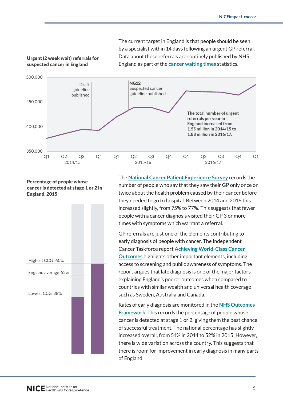The current target in England is that people should be seen by a specialist within 14 days following an urgent GP referral. Data about these referrals are routinely published by NHS England as part of the **[cancer waiting times](https://www.england.nhs.uk/statistics/statistical-work-areas/cancer-waiting-times/)** statistics.



#### Urgent (2 week wait) referrals for suspected cancer in England

Percentage of people whose cancer is detected at stage 1 or 2 in England, 2015



The **[National Cancer Patient Experience Survey](http://www.ncpes.co.uk/index.php)** records the number of people who say that they saw their GP only once or twice about the health problem caused by their cancer before they needed to go to hospital. Between 2014 and 2016 this  $\,$ increased slightly, from 75% to 77%. This suggests that fewer people with a cancer diagnosis visited their GP 3 or more times with symptoms which warrant a referral. proportional concerns or 3 per second circles or 3 per second circles or 3 per second circles or 3 per second

GP referrals are just one of the elements contributing to early diagnosis of people with cancer. The Independent Cancer Taskforce report **[Achieving World-Class Cancer](http://www.cancerresearchuk.org/sites/default/files/achieving_world-class_cancer_outcomes_-_a_strategy_for_england_2015-2020.pdf)  [Outcomes](http://www.cancerresearchuk.org/sites/default/files/achieving_world-class_cancer_outcomes_-_a_strategy_for_england_2015-2020.pdf)** highlights other important elements, including access to screening and public awareness of symptoms. The report argues that late diagnosis is one of the major factors 52% explaining England's poorer outcomes when compared to countries with similar wealth and universal health coverage such as Sweden, Australia and Canada. 50

Rates of early diagnosis are monitored in the **[NHS Outcomes](https://data.england.nhs.uk/dataset/nhsof-1-18-percentage-of-cancers-detected-at-stage-1-and-2)  [Framework](https://data.england.nhs.uk/dataset/nhsof-1-18-percentage-of-cancers-detected-at-stage-1-and-2).** This records the percentage of people whose cancer is detected at stage 1 or 2, giving them the best chance of successful treatment. The national percentage has slightly increased overall, from 51% in 2014 to 52% in 2015. However, there is wide variation across the country. This suggests that there is room for improvement in early diagnosis in many parts of England.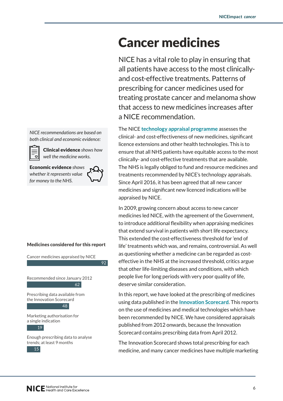# Cancer medicines

NICE has a vital role to play in ensuring that all patients have access to the most clinicallyand cost-effective treatments. Patterns of prescribing for cancer medicines used for treating prostate cancer and melanoma show that access to new medicines increases after a NICE recommendation.

The NICE **[technology appraisal programme](https://www.nice.org.uk/About/What-we-do/Our-Programmes/NICE-guidance/NICE-technology-appraisal-guidance)** assesses the clinical- and cost-effectiveness of new medicines, significant licence extensions and other health technologies. This is to ensure that all NHS patients have equitable access to the most clinically- and cost-effective treatments that are available. The NHS is legally obliged to fund and resource medicines and treatments recommended by NICE's technology appraisals. Since April 2016, it has been agreed that all new cancer medicines and significant new licenced indications will be appraised by NICE.

In 2009, growing concern about access to new cancer medicines led NICE, with the agreement of the Government, to introduce additional flexibility when appraising medicines that extend survival in patients with short life expectancy. This extended the cost-effectiveness threshold for 'end of life' treatments which was, and remains, controversial. As well as questioning whether a medicine can be regarded as costeffective in the NHS at the increased threshold, critics argue that other life-limiting diseases and conditions, with which people live for long periods with very poor quality of life, deserve similar consideration.

In this report, we have looked at the prescribing of medicines using data published in the **[Innovation Scorecard](https://digital.nhs.uk/catalogue/PUB30106)**. This reports on the use of medicines and medical technologies which have been recommended by NICE. We have considered appraisals published from 2012 onwards, because the Innovation Scorecard contains prescribing data from April 2012.

The Innovation Scorecard shows total prescribing for each medicine, and many cancer medicines have multiple marketing

*NICE recommendations are based on both clinical and economic evidence:*

> Clinical evidence *shows how well the medicine works.*

Economic evidence *shows whether it represents value for money to the NHS.*

່⊽∣



92

#### Medicines considered for this report

Cancer medicines appraised by NICE

Recommended since January 2012 62

Prescribing data available from the Innovation Scorecard 48

Marketing authorisation for a single indication

#### 19

Enough prescribing data to analyse trends; at least 9 months

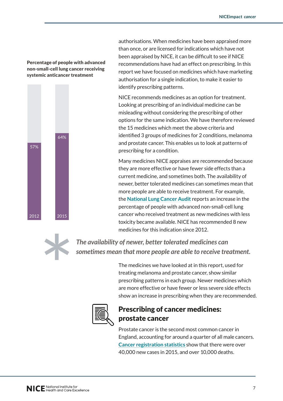#### Percentage of people with advanced non-small-cell lung cancer receiving non-omain-oon-rang oantoor-rood-ring<br>systemic anticancer treatment



authorisations. When medicines have been appraised more than once, or are licensed for indications which have not been appraised by NICE, it can be difficult to see if NICE recommendations have had an effect on prescribing. In this report we have focused on medicines which have marketing authorisation for a single indication, to make it easier to 100 identify prescribing patterns.

NICE recommends medicines as an option for treatment. Looking at prescribing of an individual medicine can be misleading without considering the prescribing of other options for the same indication. We have therefore reviewed the 15 medicines which meet the above criteria and identified 3 groups of medicines for 2 conditions, melanoma and prostate cancer. This enables us to look at patterns of prescribing for a condition.

Many medicines NICE appraises are recommended because they are more effective or have fewer side effects than a current medicine, and sometimes both. The availability of newer, better tolerated medicines can sometimes mean that more people are able to receive treatment. For example, the **[National Lung Cancer Audit](https://www.rcplondon.ac.uk/projects/national-lung-cancer-audit)** reports an increase in the percentage of people with advanced non-small-cell lung cancer who received treatment as new medicines with less 38% toxicity became available. NICE has recommended 8 new medicines for this indication since 2012. 0

*The availability of newer, better tolerated medicines can sometimes mean that more people are able to receive treatment.*

> The medicines we have looked at in this report, used for treating melanoma and prostate cancer, show similar prescribing patterns in each group. Newer medicines which are more effective or have fewer or less severe side effects show an increase in prescribing when they are recommended.



## Prescribing of cancer medicines: prostate cancer

Prostate cancer is the second most common cancer in England, accounting for around a quarter of all male cancers. **Cancer registration statistics** show that there were over 40,000 new cases in 2015, and over 10,000 deaths.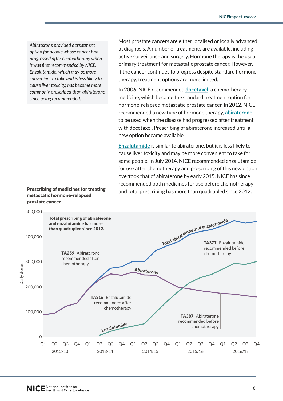*Abiraterone provided a treatment option for people whose cancer had progressed after chemotherapy when it was first recommended by NICE. Enzalutamide, which may be more convenient to take and is less likely to cause liver toxicity, has become more commonly prescribed than abiraterone since being recommended.*

Most prostate cancers are either localised or locally advanced at diagnosis. A number of treatments are available, including active surveillance and surgery. Hormone therapy is the usual primary treatment for metastatic prostate cancer. However, if the cancer continues to progress despite standard hormone therapy, treatment options are more limited.

In 2006, NICE recommended **[docetaxel](https://www.nice.org.uk/guidance/ta101)**, a chemotherapy medicine, which became the standard treatment option for hormone-relapsed metastatic prostate cancer. In 2012, NICE recommended a new type of hormone therapy, **[abiraterone](https://www.nice.org.uk/guidance/ta259)**, to be used when the disease had progressed after treatment with docetaxel. Prescribing of abiraterone increased until a new option became available.

**[Enzalutamide](https://www.nice.org.uk/guidance/ta316)** is similar to abiraterone, but it is less likely to cause liver toxicity and may be more convenient to take for some people. In July 2014, NICE recommended enzalutamide for use after chemotherapy and prescribing of this new option overtook that of abiraterone by early 2015. NICE has since recommended both medicines for use before chemotherapy and total prescribing has more than quadrupled since 2012.



#### Prescribing of medicines for treating metastatic hormone-relapsed prostate cancer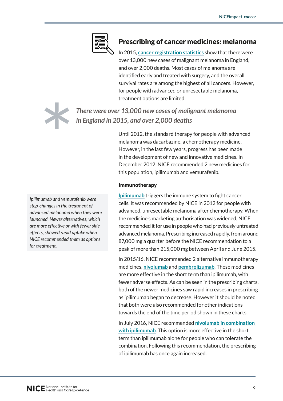

## Prescribing of cancer medicines: melanoma

In 2015, **cancer registration statistics** show that there were over 13,000 new cases of malignant melanoma in England, and over 2,000 deaths. Most cases of melanoma are identified early and treated with surgery, and the overall survival rates are among the highest of all cancers. However, for people with advanced or unresectable melanoma, treatment options are limited.

*There were over 13,000 new cases of malignant melanoma in England in 2015, and over 2,000 deaths*

> Until 2012, the standard therapy for people with advanced melanoma was dacarbazine, a chemotherapy medicine. However, in the last few years, progress has been made in the development of new and innovative medicines. In December 2012, NICE recommended 2 new medicines for this population, ipilimumab and vemurafenib.

#### Immunotherapy

**[Ipilimumab](https://www.nice.org.uk/guidance/ta268)** triggers the immune system to fight cancer cells. It was recommended by NICE in 2012 for people with advanced, unresectable melanoma after chemotherapy. When the medicine's marketing authorisation was widened, NICE recommended it for use in people who had previously untreated advanced melanoma. Prescribing increased rapidly, from around 87,000 mg a quarter before the NICE recommendation to a peak of more than 215,000 mg between April and June 2015.

In 2015/16, NICE recommended 2 alternative immunotherapy medicines, **[nivolumab](https://www.nice.org.uk/guidance/ta384)** and **[pembrolizumab](https://www.nice.org.uk/guidance/ta366)**. These medicines are more effective in the short term than ipilimumab, with fewer adverse effects. As can be seen in the prescribing charts, both of the newer medicines saw rapid increases in prescribing as ipilimumab began to decrease. However it should be noted that both were also recommended for other indications towards the end of the time period shown in these charts.

In July 2016, NICE recommended **[nivolumab in combination](https://www.nice.org.uk/guidance/ta400)  [with ipilimumab](https://www.nice.org.uk/guidance/ta400)**. This option is more effective in the short term than ipilimumab alone for people who can tolerate the combination. Following this recommendation, the prescribing of ipilimumab has once again increased.

*Ipilimumab and vemurafenib were step-changes in the treatment of advanced melanoma when they were launched. Newer alternatives, which are more effective or with fewer side effects, showed rapid uptake when NICE recommended them as options for treatment.*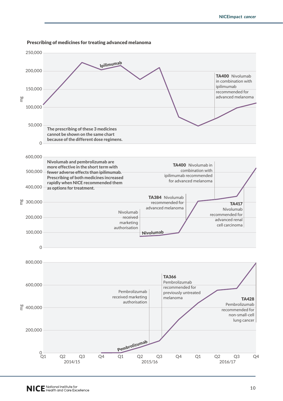

#### Prescribing of medicines for treating advanced melanoma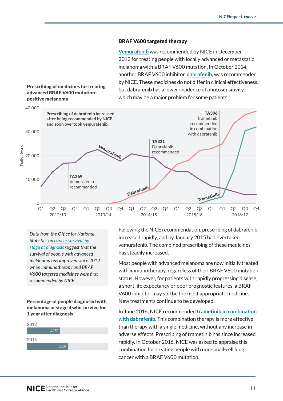#### BRAF V600 targeted therapy

**[Vemurafenib](https://www.nice.org.uk/guidance/ta269)** was recommended by NICE in December 2012 for treating people with locally advanced or metastatic melanoma with a BRAF V600 mutation. In October 2014, another BRAF V600 inhibitor, **[dabrafenib](https://www.nice.org.uk/guidance/ta321)**, was recommended by NICE. These medicines do not differ in clinical effectiveness, but dabrafenib has a lower incidence of photosensitivity, which may be a major problem for some patients.

#### Prescribing of medicines for treating advanced BRAF V600 mutationpositive melanoma



*Data from the Office for National Statistics on cancer survival by stage at diagnosis suggest that the survival of people with advanced melanoma has improved since 2012 when immunotherapy and BRAF V600 targeted medicines were first recommended by NICE.* 

Percentage of people diagnosed with melanoma at stage 4 who survive for 1 year after diagnosis



Following the NICE recommendation, prescribing of dabrafenib increased rapidly, and by January 2015 had overtaken vemurafenib. The combined prescribing of these medicines has steadily increased.

Most people with advanced melanoma are now initially treated with immunotherapy, regardless of their BRAF V600 mutation status. However, for patients with rapidly progressing disease, a short life expectancy or poor prognostic features, a BRAF V600 inhibitor may still be the most appropriate medicine. New treatments continue to be developed.

In June 2016, NICE recommended **[trametinib in combination](https://www.nice.org.uk/guidance/ta396)  [with dabrafenib](https://www.nice.org.uk/guidance/ta396)**. This combination therapy is more effective than therapy with a single medicine, without any increase in adverse effects. Prescribing of trametinib has since increased rapidly. In October 2016, NICE was asked to appraise this combination for treating people with non-small-cell lung cancer with a BRAF V600 mutation.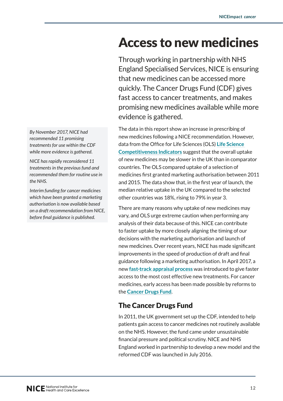# Access to new medicines

Through working in partnership with NHS England Specialised Services, NICE is ensuring that new medicines can be accessed more quickly. The Cancer Drugs Fund (CDF) gives fast access to cancer treatments, and makes promising new medicines available while more evidence is gathered.

The data in this report show an increase in prescribing of new medicines following a NICE recommendation. However, data from the Office for Life Sciences (OLS) **[Life Science](https://www.gov.uk/government/uploads/system/uploads/attachment_data/file/606651/life-science-competitiveness-indicators-report-2017.pdf)  [Competitiveness Indicators](https://www.gov.uk/government/uploads/system/uploads/attachment_data/file/606651/life-science-competitiveness-indicators-report-2017.pdf)** suggest that the overall uptake of new medicines may be slower in the UK than in comparator countries. The OLS compared uptake of a selection of medicines first granted marketing authorisation between 2011 and 2015. The data show that, in the first year of launch, the median relative uptake in the UK compared to the selected other countries was 18%, rising to 79% in year 3.

There are many reasons why uptake of new medicines may vary, and OLS urge extreme caution when performing any analysis of their data because of this. NICE can contribute to faster uptake by more closely aligning the timing of our decisions with the marketing authorisation and launch of new medicines. Over recent years, NICE has made significant improvements in the speed of production of draft and final guidance following a marketing authorisation. In April 2017, a new **fast-track appraisal process** was introduced to give faster access to the most cost effective new treatments. For cancer medicines, early access has been made possible by reforms to the **Cancer Drugs Fund**.

# The Cancer Drugs Fund

In 2011, the UK government set up the CDF, intended to help patients gain access to cancer medicines not routinely available on the NHS. However, the fund came under unsustainable financial pressure and political scrutiny. NICE and NHS England worked in partnership to develop a new model and the reformed CDF was launched in July 2016.

*By November 2017, NICE had recommended 11 promising treatments for use within the CDF while more evidence is gathered.* 

*NICE has rapidly reconsidered 11 treatments in the previous fund and recommended them for routine use in the NHS.*

*Interim funding for cancer medicines which have been granted a marketing authorisation is now available based on a draft recommendation from NICE, before final guidance is published.*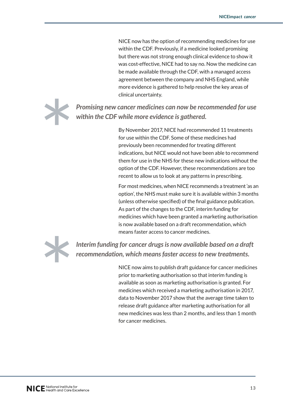NICE now has the option of recommending medicines for use within the CDF. Previously, if a medicine looked promising but there was not strong enough clinical evidence to show it was cost-effective, NICE had to say no. Now the medicine can be made available through the CDF, with a managed access agreement between the company and NHS England, while more evidence is gathered to help resolve the key areas of clinical uncertainty.



*Promising new cancer medicines can now be recommended for use within the CDF while more evidence is gathered.*

> By November 2017, NICE had recommended 11 treatments for use within the CDF. Some of these medicines had previously been recommended for treating different indications, but NICE would not have been able to recommend them for use in the NHS for these new indications without the option of the CDF. However, these recommendations are too recent to allow us to look at any patterns in prescribing.

> For most medicines, when NICE recommends a treatment 'as an option', the NHS must make sure it is available within 3 months (unless otherwise specified) of the final guidance publication. As part of the changes to the CDF, interim funding for medicines which have been granted a marketing authorisation is now available based on a draft recommendation, which means faster access to cancer medicines.



*Interim funding for cancer drugs is now available based on a draft recommendation, which means faster access to new treatments.* 

> NICE now aims to publish draft guidance for cancer medicines prior to marketing authorisation so that interim funding is available as soon as marketing authorisation is granted. For medicines which received a marketing authorisation in 2017, data to November 2017 show that the average time taken to release draft guidance after marketing authorisation for all new medicines was less than 2 months, and less than 1 month for cancer medicines.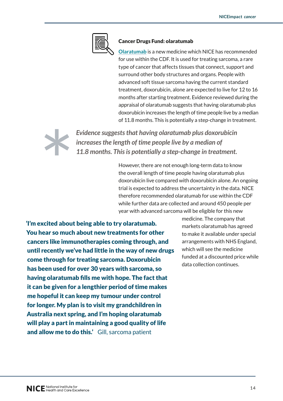#### Cancer Drugs Fund: olaratumab

**[Olaratumab](https://www.nice.org.uk/guidance/ta465)** is a new medicine which NICE has recommended for use within the CDF. It is used for treating sarcoma, a rare type of cancer that affects tissues that connect, support and surround other body structures and organs. People with advanced soft tissue sarcoma having the current standard treatment, doxorubicin, alone are expected to live for 12 to 16 months after starting treatment. Evidence reviewed during the appraisal of olaratumab suggests that having olaratumab plus doxorubicin increases the length of time people live by a median of 11.8 months. This is potentially a step-change in treatment.



*Evidence suggests that having olaratumab plus doxorubicin increases the length of time people live by a median of 11.8 months. This is potentially a step-change in treatment.*

> However, there are not enough long-term data to know the overall length of time people having olaratumab plus doxorubicin live compared with doxorubicin alone. An ongoing trial is expected to address the uncertainty in the data. NICE therefore recommended olaratumab for use within the CDF while further data are collected and around 450 people per year with advanced sarcoma will be eligible for this new

'I'm excited about being able to try olaratumab. You hear so much about new treatments for other cancers like immunotherapies coming through, and until recently we've had little in the way of new drugs come through for treating sarcoma. Doxorubicin has been used for over 30 years with sarcoma, so having olaratumab fills me with hope. The fact that it can be given for a lengthier period of time makes me hopeful it can keep my tumour under control for longer. My plan is to visit my grandchildren in Australia next spring, and I'm hoping olaratumab will play a part in maintaining a good quality of life and allow me to do this.' Gill, sarcoma patient

medicine. The company that markets olaratumab has agreed to make it available under special arrangements with NHS England, which will see the medicine funded at a discounted price while data collection continues.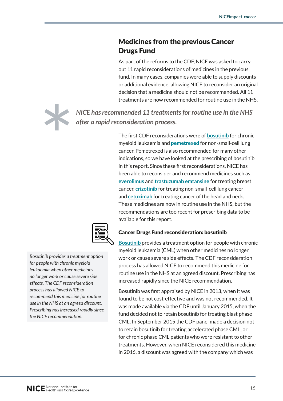## Medicines from the previous Cancer Drugs Fund

As part of the reforms to the CDF, NICE was asked to carry out 11 rapid reconsiderations of medicines in the previous fund. In many cases, companies were able to supply discounts or additional evidence, allowing NICE to reconsider an original decision that a medicine should not be recommended. All 11 treatments are now recommended for routine use in the NHS.

*NICE has recommended 11 treatments for routine use in the NHS after a rapid reconsideration process.*

> The first CDF reconsiderations were of **[bosutinib](https://www.nice.org.uk/guidance/ta401)** for chronic myeloid leukaemia and **[pemetrexed](https://www.nice.org.uk/guidance/ta447)** for non-small-cell lung cancer. Pemetrexed is also recommended for many other indications, so we have looked at the prescribing of bosutinib in this report. Since these first reconsiderations, NICE has been able to reconsider and recommend medicines such as **[everolimus](https://www.nice.org.uk/guidance/ta421)** and **[trastuzumab emtansine](https://www.nice.org.uk/guidance/ta458)** for treating breast cancer, **[crizotinib](https://www.nice.org.uk/guidance/ta422)** for treating non-small-cell lung cancer and **[cetuximab](https://www.nice.org.uk/guidance/ta473)** for treating cancer of the head and neck. These medicines are now in routine use in the NHS, but the recommendations are too recent for prescribing data to be available for this report.



#### *Bosutinib provides a treatment option for people with chronic myeloid leukaemia when other medicines no longer work or cause severe side effects. The CDF reconsideration process has allowed NICE to recommend this medicine for routine use in the NHS at an agreed discount. Prescribing has increased rapidly since the NICE recommendation.*

#### Cancer Drugs Fund reconsideration: bosutinib

**[Bosutinib](https://www.nice.org.uk/guidance/ta401)** provides a treatment option for people with chronic myeloid leukaemia (CML) when other medicines no longer work or cause severe side effects. The CDF reconsideration process has allowed NICE to recommend this medicine for routine use in the NHS at an agreed discount. Prescribing has increased rapidly since the NICE recommendation.

Bosutinib was first appraised by NICE in 2013, when it was found to be not cost-effective and was not recommended. It was made available via the CDF until January 2015, when the fund decided not to retain bosutinib for treating blast phase CML. In September 2015 the CDF panel made a decision not to retain bosutinib for treating accelerated phase CML, or for chronic phase CML patients who were resistant to other treatments. However, when NICE reconsidered this medicine in 2016, a discount was agreed with the company which was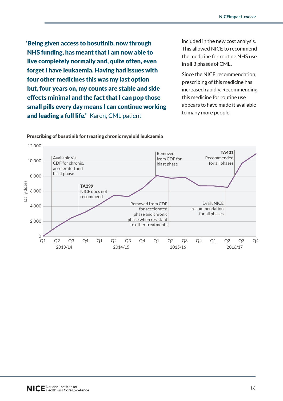'Being given access to bosutinib, now through NHS funding, has meant that I am now able to live completely normally and, quite often, even forget I have leukaemia. Having had issues with four other medicines this was my last option but, four years on, my counts are stable and side effects minimal and the fact that I can pop those small pills every day means I can continue working and leading a full life.' Karen, CML patient

included in the new cost analysis. This allowed NICE to recommend the medicine for routine NHS use in all 3 phases of CML.

Since the NICE recommendation, prescribing of this medicine has increased rapidly. Recommending this medicine for routine use appears to have made it available to many more people.



#### Prescribing of bosutinib for treating chronic myeloid leukaemia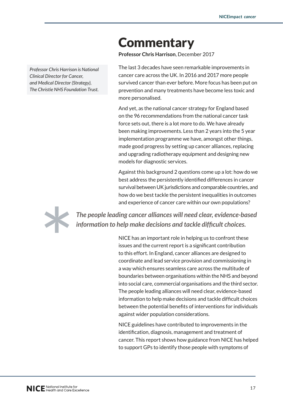# **Commentary**

**Professor Chris Harrison**, December 2017

The last 3 decades have seen remarkable improvements in cancer care across the UK. In 2016 and 2017 more people survived cancer than ever before. More focus has been put on prevention and many treatments have become less toxic and more personalised.

And yet, as the national cancer strategy for England based on the 96 recommendations from the national cancer task force sets out, there is a lot more to do. We have already been making improvements. Less than 2 years into the 5 year implementation programme we have, amongst other things, made good progress by setting up cancer alliances, replacing and upgrading radiotherapy equipment and designing new models for diagnostic services.

Against this background 2 questions come up a lot: how do we best address the persistently identified differences in cancer survival between UK jurisdictions and comparable countries, and how do we best tackle the persistent inequalities in outcomes and experience of cancer care within our own populations?



*The people leading cancer alliances will need clear, evidence-based information to help make decisions and tackle difficult choices.*

> NICE has an important role in helping us to confront these issues and the current report is a significant contribution to this effort. In England, cancer alliances are designed to coordinate and lead service provision and commissioning in a way which ensures seamless care across the multitude of boundaries between organisations within the NHS and beyond into social care, commercial organisations and the third sector. The people leading alliances will need clear, evidence-based information to help make decisions and tackle difficult choices between the potential benefits of interventions for individuals against wider population considerations.

> NICE guidelines have contributed to improvements in the identification, diagnosis, management and treatment of cancer. This report shows how guidance from NICE has helped to support GPs to identify those people with symptoms of

*Professor Chris Harrison is National Clinical Director for Cancer, and Medical Director (Strategy), The Christie NHS Foundation Trust.*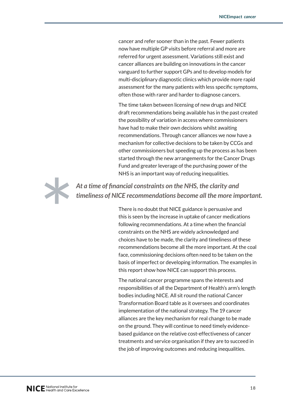cancer and refer sooner than in the past. Fewer patients now have multiple GP visits before referral and more are referred for urgent assessment. Variations still exist and cancer alliances are building on innovations in the cancer vanguard to further support GPs and to develop models for multi-disciplinary diagnostic clinics which provide more rapid assessment for the many patients with less specific symptoms, often those with rarer and harder to diagnose cancers.

The time taken between licensing of new drugs and NICE draft recommendations being available has in the past created the possibility of variation in access where commissioners have had to make their own decisions whilst awaiting recommendations. Through cancer alliances we now have a mechanism for collective decisions to be taken by CCGs and other commissioners but speeding up the process as has been started through the new arrangements for the Cancer Drugs Fund and greater leverage of the purchasing power of the NHS is an important way of reducing inequalities.



*At a time of financial constraints on the NHS, the clarity and timeliness of NICE recommendations become all the more important.*

> There is no doubt that NICE guidance is persuasive and this is seen by the increase in uptake of cancer medications following recommendations. At a time when the financial constraints on the NHS are widely acknowledged and choices have to be made, the clarity and timeliness of these recommendations become all the more important. At the coal face, commissioning decisions often need to be taken on the basis of imperfect or developing information. The examples in this report show how NICE can support this process.

The national cancer programme spans the interests and responsibilities of all the Department of Health's arm's length bodies including NICE. All sit round the national Cancer Transformation Board table as it oversees and coordinates implementation of the national strategy. The 19 cancer alliances are the key mechanism for real change to be made on the ground. They will continue to need timely evidencebased guidance on the relative cost-effectiveness of cancer treatments and service organisation if they are to succeed in the job of improving outcomes and reducing inequalities.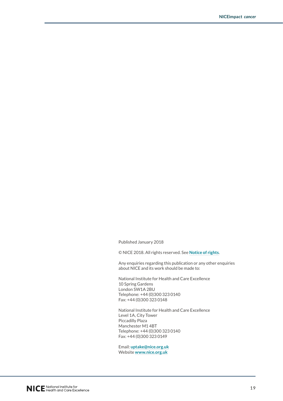Published January 2018

© NICE 2018. All rights reserved. See **[Notice of rights](https://www.nice.org.uk/terms-and-conditions#notice-of-rights)**.

Any enquiries regarding this publication or any other enquiries about NICE and its work should be made to:

National Institute for Health and Care Excellence 10 Spring Gardens London SW1A 2BU Telephone: +44 (0)300 323 0140 Fax: +44 (0)300 323 0148

National Institute for Health and Care Excellence Level 1A, City Tower Piccadilly Plaza Manchester M1 4BT Telephone: +44 (0)300 323 0140 Fax: +44 (0)300 323 0149

Email: **[uptake@nice.org.uk](mailto:uptake@nice.org.uk)** Website **[www.nice.org.uk](http://www.nice.org.uk/)**